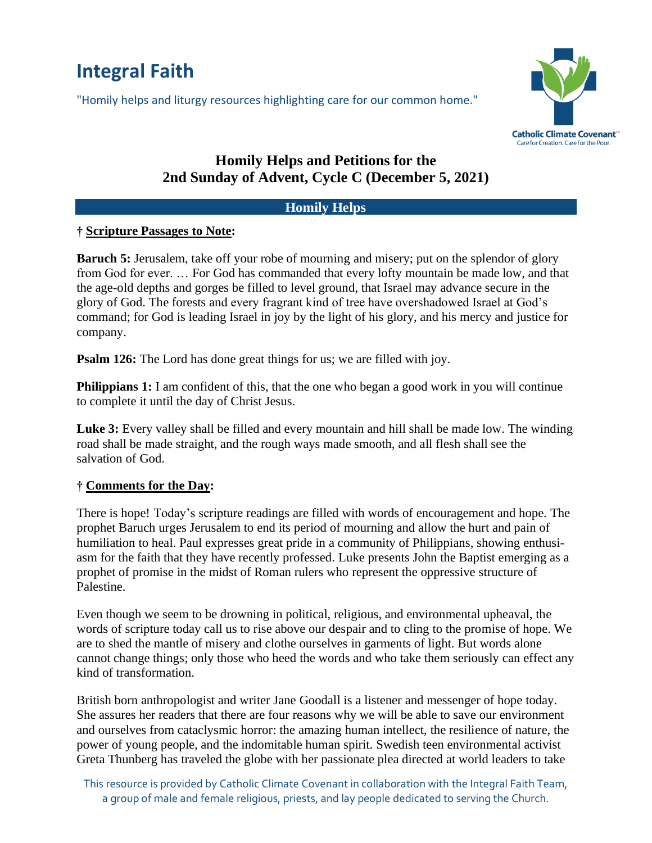# **Integral Faith**

"Homily helps and liturgy resources highlighting care for our common home."



# **Homily Helps and Petitions for the 2nd Sunday of Advent, Cycle C (December 5, 2021)**

#### **Homily Helps**

#### **† Scripture Passages to Note:**

**Baruch 5:** Jerusalem, take off your robe of mourning and misery; put on the splendor of glory from God for ever. … For God has commanded that every lofty mountain be made low, and that the age-old depths and gorges be filled to level ground, that Israel may advance secure in the glory of God. The forests and every fragrant kind of tree have overshadowed Israel at God's command; for God is leading Israel in joy by the light of his glory, and his mercy and justice for company.

**Psalm 126:** The Lord has done great things for us; we are filled with joy.

**Philippians 1:** I am confident of this, that the one who began a good work in you will continue to complete it until the day of Christ Jesus.

Luke 3: Every valley shall be filled and every mountain and hill shall be made low. The winding road shall be made straight, and the rough ways made smooth, and all flesh shall see the salvation of God.

## **† Comments for the Day:**

There is hope! Today's scripture readings are filled with words of encouragement and hope. The prophet Baruch urges Jerusalem to end its period of mourning and allow the hurt and pain of humiliation to heal. Paul expresses great pride in a community of Philippians, showing enthusiasm for the faith that they have recently professed. Luke presents John the Baptist emerging as a prophet of promise in the midst of Roman rulers who represent the oppressive structure of Palestine.

Even though we seem to be drowning in political, religious, and environmental upheaval, the words of scripture today call us to rise above our despair and to cling to the promise of hope. We are to shed the mantle of misery and clothe ourselves in garments of light. But words alone cannot change things; only those who heed the words and who take them seriously can effect any kind of transformation.

British born anthropologist and writer Jane Goodall is a listener and messenger of hope today. She assures her readers that there are four reasons why we will be able to save our environment and ourselves from cataclysmic horror: the amazing human intellect, the resilience of nature, the power of young people, and the indomitable human spirit. Swedish teen environmental activist Greta Thunberg has traveled the globe with her passionate plea directed at world leaders to take

This resource is provided by Catholic Climate Covenant in collaboration with the Integral Faith Team, a group of male and female religious, priests, and lay people dedicated to serving the Church.